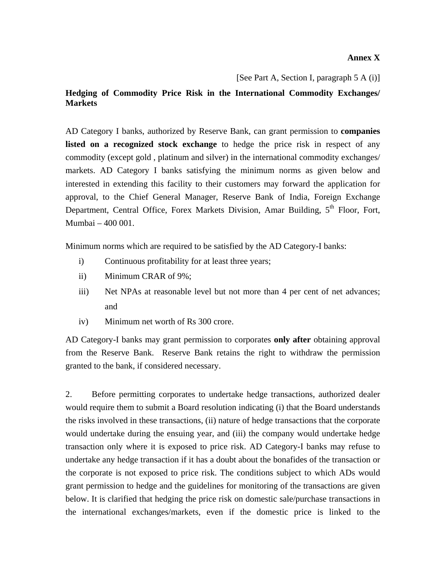## **Annex X**

[See Part A, Section I, paragraph 5 A (i)]

## **Hedging of Commodity Price Risk in the International Commodity Exchanges/ Markets**

AD Category I banks, authorized by Reserve Bank, can grant permission to **companies**  listed on a recognized stock exchange to hedge the price risk in respect of any commodity (except gold , platinum and silver) in the international commodity exchanges/ markets. AD Category I banks satisfying the minimum norms as given below and interested in extending this facility to their customers may forward the application for approval, to the Chief General Manager, Reserve Bank of India, Foreign Exchange Department, Central Office, Forex Markets Division, Amar Building,  $5<sup>th</sup>$  Floor, Fort, Mumbai – 400 001.

Minimum norms which are required to be satisfied by the AD Category-I banks:

- i) Continuous profitability for at least three years;
- ii) Minimum CRAR of 9%;
- iii) Net NPAs at reasonable level but not more than 4 per cent of net advances; and
- iv) Minimum net worth of Rs 300 crore.

AD Category-I banks may grant permission to corporates **only after** obtaining approval from the Reserve Bank. Reserve Bank retains the right to withdraw the permission granted to the bank, if considered necessary.

2. Before permitting corporates to undertake hedge transactions, authorized dealer would require them to submit a Board resolution indicating (i) that the Board understands the risks involved in these transactions, (ii) nature of hedge transactions that the corporate would undertake during the ensuing year, and (iii) the company would undertake hedge transaction only where it is exposed to price risk. AD Category-I banks may refuse to undertake any hedge transaction if it has a doubt about the bonafides of the transaction or the corporate is not exposed to price risk. The conditions subject to which ADs would grant permission to hedge and the guidelines for monitoring of the transactions are given below. It is clarified that hedging the price risk on domestic sale/purchase transactions in the international exchanges/markets, even if the domestic price is linked to the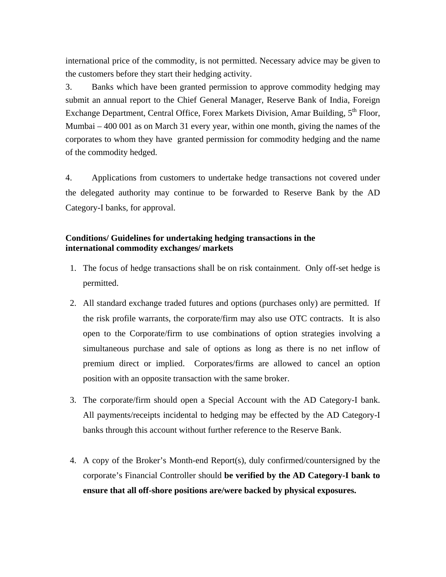international price of the commodity, is not permitted. Necessary advice may be given to the customers before they start their hedging activity.

3. Banks which have been granted permission to approve commodity hedging may submit an annual report to the Chief General Manager, Reserve Bank of India, Foreign Exchange Department, Central Office, Forex Markets Division, Amar Building, 5<sup>th</sup> Floor, Mumbai – 400 001 as on March 31 every year, within one month, giving the names of the corporates to whom they have granted permission for commodity hedging and the name of the commodity hedged.

4. Applications from customers to undertake hedge transactions not covered under the delegated authority may continue to be forwarded to Reserve Bank by the AD Category-I banks, for approval.

## **Conditions/ Guidelines for undertaking hedging transactions in the international commodity exchanges/ markets**

- 1. The focus of hedge transactions shall be on risk containment. Only off-set hedge is permitted.
- 2. All standard exchange traded futures and options (purchases only) are permitted. If the risk profile warrants, the corporate/firm may also use OTC contracts. It is also open to the Corporate/firm to use combinations of option strategies involving a simultaneous purchase and sale of options as long as there is no net inflow of premium direct or implied. Corporates/firms are allowed to cancel an option position with an opposite transaction with the same broker.
- 3. The corporate/firm should open a Special Account with the AD Category-I bank. All payments/receipts incidental to hedging may be effected by the AD Category-I banks through this account without further reference to the Reserve Bank.
- 4. A copy of the Broker's Month-end Report(s), duly confirmed/countersigned by the corporate's Financial Controller should **be verified by the AD Category-I bank to ensure that all off-shore positions are/were backed by physical exposures.**